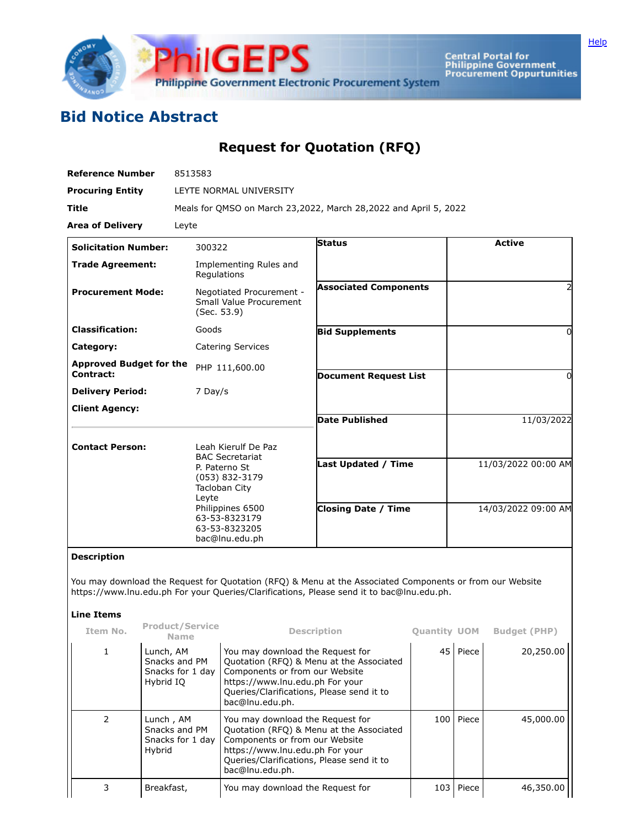

**Central Portal for<br>Philippine Government<br>Procurement Oppurtunities** 

## **Bid Notice Abstract**

## **Request for Quotation (RFQ)**

| <b>Reference Number</b>                     | 8513583                                                                                                                           |                                                                  |                     |
|---------------------------------------------|-----------------------------------------------------------------------------------------------------------------------------------|------------------------------------------------------------------|---------------------|
| <b>Procuring Entity</b>                     | LEYTE NORMAL UNIVERSITY                                                                                                           |                                                                  |                     |
| <b>Title</b>                                |                                                                                                                                   | Meals for QMSO on March 23,2022, March 28,2022 and April 5, 2022 |                     |
| <b>Area of Delivery</b>                     | Leyte                                                                                                                             |                                                                  |                     |
| <b>Solicitation Number:</b>                 | 300322                                                                                                                            | Status                                                           | <b>Active</b>       |
| <b>Trade Agreement:</b>                     | Implementing Rules and<br>Regulations                                                                                             |                                                                  |                     |
| <b>Procurement Mode:</b>                    | Negotiated Procurement -<br>Small Value Procurement<br>(Sec. 53.9)                                                                | <b>Associated Components</b>                                     |                     |
| <b>Classification:</b>                      | Goods                                                                                                                             | <b>Bid Supplements</b>                                           | ŋ                   |
| Category:                                   | <b>Catering Services</b>                                                                                                          |                                                                  |                     |
| <b>Approved Budget for the</b><br>Contract: | PHP 111,600.00                                                                                                                    | <b>Document Request List</b>                                     | 0                   |
| <b>Delivery Period:</b>                     | 7 Day/s                                                                                                                           |                                                                  |                     |
| <b>Client Agency:</b>                       |                                                                                                                                   |                                                                  |                     |
|                                             |                                                                                                                                   | <b>Date Published</b>                                            | 11/03/2022          |
| <b>Contact Person:</b>                      | Leah Kierulf De Paz<br><b>BAC Secretariat</b>                                                                                     |                                                                  |                     |
|                                             | P. Paterno St<br>(053) 832-3179<br>Tacloban City<br>Leyte<br>Philippines 6500<br>63-53-8323179<br>63-53-8323205<br>bac@lnu.edu.ph | <b>Last Updated / Time</b>                                       | 11/03/2022 00:00 AM |
|                                             |                                                                                                                                   | <b>Closing Date / Time</b>                                       | 14/03/2022 09:00 AM |

## **Description**

You may download the Request for Quotation (RFQ) & Menu at the Associated Components or from our Website https://www.lnu.edu.ph For your Queries/Clarifications, Please send it to bac@lnu.edu.ph.

## **Line Items**

| Item No.      | <b>Product/Service</b><br>Name                              | <b>Description</b>                                                                                                                                                                                                | <b>Quantity UOM</b> |             | <b>Budget (PHP)</b> |
|---------------|-------------------------------------------------------------|-------------------------------------------------------------------------------------------------------------------------------------------------------------------------------------------------------------------|---------------------|-------------|---------------------|
| $\mathbf{1}$  | Lunch, AM<br>Snacks and PM<br>Snacks for 1 day<br>Hybrid IO | You may download the Request for<br>Quotation (RFQ) & Menu at the Associated<br>Components or from our Website<br>https://www.lnu.edu.ph For your<br>Queries/Clarifications, Please send it to<br>bac@lnu.edu.ph. |                     | 45 Piece    | 20,250.00           |
| $\mathcal{P}$ | Lunch, AM<br>Snacks and PM<br>Snacks for 1 day<br>Hybrid    | You may download the Request for<br>Quotation (RFQ) & Menu at the Associated<br>Components or from our Website<br>https://www.lnu.edu.ph For your<br>Queries/Clarifications, Please send it to<br>bac@lnu.edu.ph. |                     | 100   Piece | 45,000,00           |
|               | Breakfast,                                                  | You may download the Request for                                                                                                                                                                                  | 103                 | Piece       | 46,350.00           |